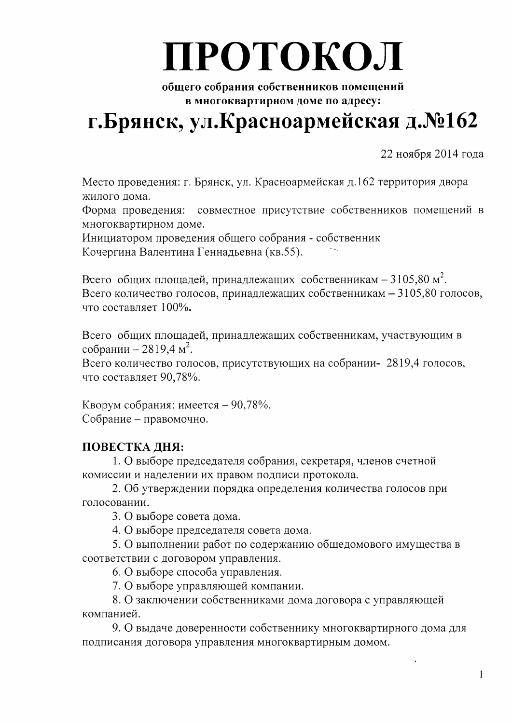# ПРОТОКОЛ

общего собрания собственников помещений в многоквартирном доме по адресу:

# г. Брянск, ул. Красноармейская д. №162

22 ноября 2014 года

Место проведения: г. Брянск, ул. Красноармейская д.162 территория двора жилого дома.

Форма проведения: совместное присутствие собственников помещений в многоквартирном доме.

Инициатором проведения общего собрания - собственник Кочергина Валентина Геннадьевна (кв.55).

Всего общих площадей, принадлежащих собственникам - 3105,80 м<sup>2</sup>. Всего количество голосов, принадлежащих собственникам - 3105,80 голосов, что составляет 100%.

Всего общих площадей, принадлежащих собственникам, участвующим в собрании - 2819,4 м<sup>2</sup>.

Всего количество голосов, присутствующих на собрании- 2819,4 голосов, что составляет 90,78%.

Кворум собрания: имеется - 90,78%. Собрание - правомочно.

# ПОВЕСТКА ДНЯ:

1. О выборе председателя собрания, секретаря, членов счетной комиссии и наделении их правом подписи протокола.

2. Об утверждении порядка определения количества голосов при голосовании.

3. О выборе совета дома.

4. О выборе председателя совета дома.

5. О выполнении работ по содержанию общедомового имущества в соответствии с договором управления.

6. О выборе способа управления.

7. О выборе управляющей компании.

8. О заключении собственниками дома договора с управляющей компанией.

9. О выдаче доверенности собственнику многоквартирного дома для подписания договора управления многоквартирным домом.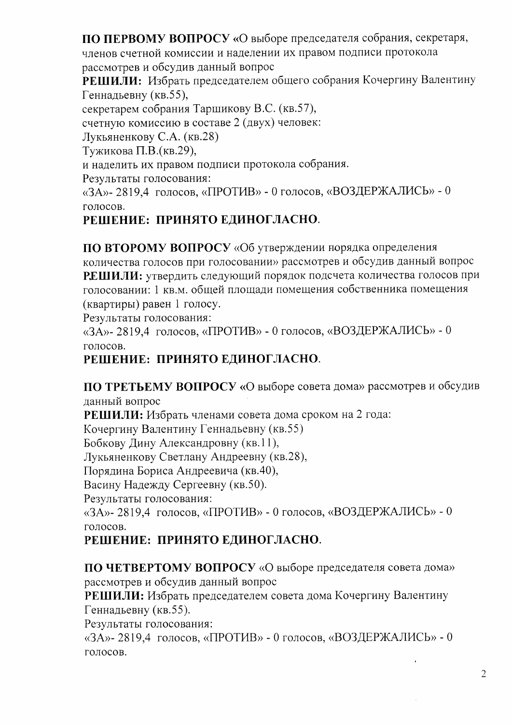ПО ПЕРВОМУ ВОПРОСУ «О выборе председателя собрания, секретаря,

членов счетной комиссии и наделении их правом подписи протокола

рассмотрев и обсудив данный вопрос

РЕШИЛИ: Избрать председателем общего собрания Кочергину Валентину Геннадьевну (кв.55),

секретарем собрания Таршикову В.С. (кв.57),

счетную комиссию в составе 2 (двух) человек:

Лукьяненкову С.А. (кв.28)

Тужикова П.В. (кв. 29),

и наделить их правом подписи протокола собрания.

Результаты голосования:

«ЗА»-2819,4 голосов, «ПРОТИВ» - 0 голосов, «ВОЗДЕРЖАЛИСЬ» - 0 голосов.

# РЕШЕНИЕ: ПРИНЯТО ЕДИНОГЛАСНО.

ПО ВТОРОМУ ВОПРОСУ «Об утверждении порядка определения количества голосов при голосовании» рассмотрев и обсудив данный вопрос РЕШИЛИ: утвердить следующий порядок подсчета количества голосов при голосовании: 1 кв.м. общей площади помещения собственника помещения (квартиры) равен 1 голосу.

Результаты голосования:

«ЗА»- 2819,4 голосов, «ПРОТИВ» - 0 голосов, «ВОЗДЕРЖАЛИСЬ» - 0 голосов.

# РЕШЕНИЕ: ПРИНЯТО ЕДИНОГЛАСНО.

ПО ТРЕТЬЕМУ ВОПРОСУ «О выборе совета дома» рассмотрев и обсудив данный вопрос

РЕШИЛИ: Избрать членами совета дома сроком на 2 года:

Кочергину Валентину Геннадьевну (кв.55)

Бобкову Дину Александровну (кв.11),

Лукьяненкову Светлану Андреевну (кв.28),

Порядина Бориса Андреевича (кв.40),

Васину Надежду Сергеевну (кв.50).

Результаты голосования:

«ЗА»-2819,4 голосов, «ПРОТИВ» - 0 голосов, «ВОЗДЕРЖАЛИСЬ» - 0 голосов.

# РЕШЕНИЕ: ПРИНЯТО ЕДИНОГЛАСНО.

ПО ЧЕТВЕРТОМУ ВОПРОСУ «О выборе председателя совета дома» рассмотрев и обсудив данный вопрос

РЕШИЛИ: Избрать председателем совета дома Кочергину Валентину Геннадьевну (кв.55).

Результаты голосования:

«ЗА»-2819,4 голосов, «ПРОТИВ» - 0 голосов, «ВОЗДЕРЖАЛИСЬ» - 0 голосов.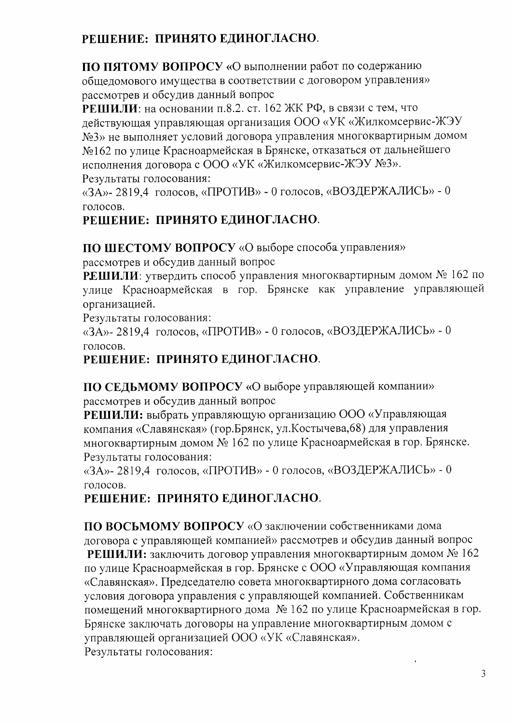# РЕШЕНИЕ: ПРИНЯТО ЕДИНОГЛАСНО.

ПО ПЯТОМУ ВОПРОСУ «О выполнении работ по содержанию общедомового имущества в соответствии с договором управления» рассмотрев и обсудив данный вопрос

РЕШИЛИ: на основании п.8.2. ст. 162 ЖК РФ, в связи с тем, что действующая управляющая организация ООО «УК «Жилкомсервис-ЖЭУ №3» не выполняет условий договора управления многоквартирным домом №162 по улице Красноармейская в Брянске, отказаться от дальнейшего исполнения договора с ООО «УК «Жилкомсервис-ЖЭУ №3». Результаты голосования:

«ЗА»- 2819,4 голосов, «ПРОТИВ» - 0 голосов, «ВОЗДЕРЖАЛИСЬ» - 0 голосов.

# РЕШЕНИЕ: ПРИНЯТО ЕДИНОГЛАСНО.

ПО ШЕСТОМУ ВОПРОСУ «О выборе способа управления»

рассмотрев и обсудив данный вопрос

РЕШИЛИ: утвердить способ управления многоквартирным домом № 162 по улице Красноармейская в гор. Брянске как управление управляющей организацией.

Результаты голосования:

«ЗА»-2819,4 голосов, «ПРОТИВ» - 0 голосов, «ВОЗДЕРЖАЛИСЬ» - 0 голосов.

#### РЕШЕНИЕ: ПРИНЯТО ЕДИНОГЛАСНО.

ПО СЕДЬМОМУ ВОПРОСУ «О выборе управляющей компании» рассмотрев и обсудив данный вопрос

РЕШИЛИ: выбрать управляющую организацию ООО «Управляющая компания «Славянская» (гор. Брянск, ул. Костычева, 68) для управления многоквартирным домом № 162 по улице Красноармейская в гор. Брянске. Результаты голосования:

«ЗА»- 2819,4 голосов, «ПРОТИВ» - 0 голосов, «ВОЗДЕРЖАЛИСЬ» - 0 голосов.

# РЕШЕНИЕ: ПРИНЯТО ЕДИНОГЛАСНО.

ПО ВОСЬМОМУ ВОПРОСУ «О заключении собственниками дома договора с управляющей компанией» рассмотрев и обсудив данный вопрос РЕШИЛИ: заключить договор управления многоквартирным домом № 162 по улице Красноармейская в гор. Брянске с ООО «Управляющая компания «Славянская». Председателю совета многоквартирного дома согласовать условия договора управления с управляющей компанией. Собственникам помещений многоквартирного дома № 162 по улице Красноармейская в гор. Брянске заключать договоры на управление многоквартирным домом с управляющей организацией ООО «УК «Славянская». Результаты голосования: